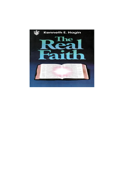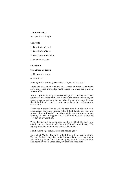# **The Real Faith**

By Kenneth E. Hagin

# *Contents*

- 1. Two Kinds of Truth
- 2. Two Kinds of Faith
- 3. Two Kinds of Unbelief
- 4. Enemies of Faith

# *Chapter 1*

# *Two Kinds of Truth*

*... Thy word is truth.*

*—* John 17:17

Praying to the Father, Jesus said, ".. *.thy word is truth.* "

There are two kinds of truth: truth based on what God's Word says and sense-knowledge truth based on what our physical senses tell us.

It is all right to walk by sense-knowledge truth as long as it does not contradict Bible truth. But living in the natural as we do, we get so accustomed to believing what the outward man tells us that it is difficult to switch over and walk by the truth given in God's Word.

Years ago I prayed for an elderly man who had suffered from rheumatism for many years. After I laid hands on him and prayed, the Lord healed him. About eight months later, as I was walking to town, I happened to see him as he was staking his cow out on a vacant lot.

When he started to straighten up, he grabbed his back and could scarcely move. Finally he straightened up and said, "Oh, my, my, that rheumatism has come back on me."

I said, "Brother, I thought God had healed you."

He replied, "Well, I thought He had, too, but I guess He didn't. The day before yesterday, while I was milking the cow, a pain hit me in my hand. Then it went up my arm, into my shoulder, and down my back. Since then, my arm has been stiff.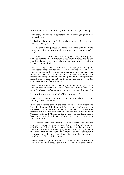It hurts. My back hurts, too. I get down and can't get back up.

Until then, I hadn't had a symptom or pain since you prayed for me last January."

I asked him how long he had had rheumatism before that and he said, "Nearly 30 years."

"At any time during those 30 years was there ever an eight month period when you didn't have any pain or symptoms?" I asked.

"No," he said. "I had to take something every day for the pain. I went to doctors in the different cities around here, but no one could really cure it. I could only take something for the pain, to help me get by a little."

"Isn't it strange, then," I said, "that these symptoms and pains disappeared when hands were laid on you in the Name of Jesus, and for eight months you had no more pain. You see, the Lord really did heal you. I'll tell you exactly what happened. The minute the first pain struck your body, you said, 'I thought I was healed, but I guess I'm not,' and you opened the door for the devil to come right back in again."

I talked with him a while, teaching him that if the pain came back he was to resist it because it was of the devil. The Bible says, "... *Resist the devil, and he will flee from you"* (James 4:7).

I prayed for him again, and all of his symptoms left.

During the remaining four years that I pastored there, he never had any more rheumatism.

It was the teaching of the Word that helped this man regain and keep his healing. I had prayed for him and had gotten him delivered, but he had lost his healing. The teaching of the Word instilled faith in him and showed him the difference between Thomas' faith and Abraham's faith—between the faith that is based on physical evidence and the faith that is based upon what God has said.

Most people who are untaught in the Word are seeking someone who can pray the prayer of faith for them. The prayer of faith may deliver them temporarily, but unbelief eventually will annul the effects of that prayer. This is what happened to the man with rheumatism. The prayer of faith temporarily delivered him from rheumatism, but unbelief eventually nullified the effects of that prayer.

Notice I couldn't get him healed the second time on the same basis I did the first time. I got him healed the first time without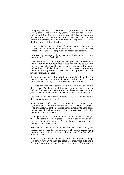doing any teaching at all. (He had just gotten back to God after having been backslidden many years.) I just laid hands on him and prayed. But the second time I prayed, I had to teach him first before I could get him delivered. That time, when his faith started functioning, he took hold of the healing that was his all the time, and that time it lasted.

There has been criticism of mass healing meetings because, in many cases, the healings do not last. This is true because where a mass faith is present, people can be helped temporarily.

However, to maintain their healing, these people should continue to feed on God's Word.

Once there was a Full Gospel woman preacher in Texas who had a condition in her body that caused her head to be pulled to one side. Specialists told her it was a deterioration of the nerves and nothing could be done for it. They warned her that the condition would grow worse and she should prepare to be an invalid within six months.

She and her husband got on a train and went to a divine healing meeting. She was instantly delivered and for eight or ten months she was all right. Then this condition returned.

I went to her area of the state to hold a meeting, and she was in the services. As she sat and listened, she understood why she had lost her healing. She adjusted her believing and came for prayer. We laid hands on her and she was instantly delivered.

She was still healed nearly 20 years later. How important it is that people be properly taught.

Someone once said to me, "Brother Hagin, I appreciate your tapes so much. I received healing last year through the prayers of an evangelist, but then I lost it. Since listening to your tapes and the teaching of the Word of God, I've received my healing again and I've maintained it."

Many people are like the man who said to me, "I thought the Lord healed me, but I guess He didn't. I believe if God ever does anything, it's done. If God heals you, you are always healed and you won't lose it."

However, in the book of Revelation, we read that Jesus appeared in a vision to John on the Isle of Patmos, giving him a message to one of the churches. It was *"Hold that fast which thou hast"* (Rev. 3:11).

In this case, He would be saying, "Hold fast to your healing." You have your part to play, for there is a man-ward side and a God-ward side to every battle and every victory. God promised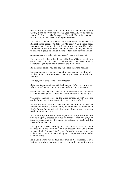the children of Israel the land of Canaan, but He also said, *"Every place whereon the soles of your feet shall tread shall be yours* ..." (Deut. 11:24). In essence, He said, "I'm going to give it to you, but you will have to take possession of it."

The word "believe" is a verb—an action word. To believe in a Biblical sense means "to take" or "to grasp." To believe Jesus means to take Him for all that the Scriptures declare Him to be: To believe on Jesus as Savior means to take Him as your Savior; to believe in Jesus as Healer means to take Him as your Healer.

A man can say, "I believe in salvation," yet never be saved.

He can say, "I believe that Jesus is the Son of God," yet die and go to hell. He can say, "I believe that the New Birth is scriptural," yet never really possess the New Birth.

By the same token, you can say, "I believe in divine healing"

because you saw someone healed or because you read about it in the Bible. But that doesn't mean you have received your healing.

You, too, must take Jesus as your Healer.

Believing is an act of the will. Joshua said, *"Choose you this day whom ye will serve... but as for me and my house, we WILL*

*serve the Lord"* (Joshua 24:15). In Revelation 22:17 we read, "...*And whosoever WILL, let him take the water of life freely.* "

To believe, then, is to act on the Word of God. So *faith* is acting on the Word, and *doubt* is refusing to act on the Word.

As we discussed earlier, there are two kinds of truth we can believe in: natural, human truth, or truth that is revealed in God's Word. We could call the latter Bible truth, revelation truth, or spiritual truth.

*Spiritual things are just as real as physical things,* because God, who is a Spirit, created all physical things. When the *physical* body is dead and in the grave, it returns to dust, yet the *spiritual* man lives on.

Through the senses—through natural, human truth—a person realizes he is sick and has pain or disease. But God's Word reveals that *"Himself took our infirmities, and bare our sicknesses* " (Matt. 8:17), and by His stripes we were healed (1 Peter 2:24).

Isn't God's Word just as true one time as it is another? Isn't it just as true when you have sickness and suffering as it is when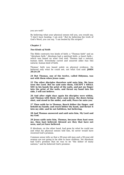you are well?

By believing what your physical senses tell you, you would say, "I don't have healing; I am sick." But by believing the truth of God's Word, you can say, "I am healed by His stripes!"

#### *Chapter 2*

# *Two Kinds of Faith*

The Bible contrasts two kinds of faith: a "Thomas faith" and an "Abraham faith." Abraham had a spiritual faith—a heart faith which was based on what God said. Thomas had a natural, human faith. Everybody—saved and unsaved alike—has this natural, human kind of faith.

Thomas' faith was based solely on physical evidence. He believed only what he could see, not what God said: **JOHN 20:24-29**

**24 But Thomas, one of the twelve, called Didymus, was not with them when Jesus came.**

**25 The other disciples therefore said unto him, We have seen the Lord. But he said unto them, EXCEPT I SHALL SEE in his hands the print of the nails, and put my finger into the print of the nails, and thrust my hand into his side, I will not believe.**

**26 And after eight days again his disciples were within, and Thomas with them: then came Jesus, the doors being shut, and stood in the midst, and said, Peace be unto you.**

**27 Then saith he to Thomas, Reach hither thy finger, and behold my hands; and reach hither thy hand, and thrust it into my side: and be not faithless, but believing.**

**28 And Thomas answered and said unto him, My Lord and my God.**

**29 Jesus saith unto him, Thomas, because thou hast seen me, thou hast believed: blessed are they that have not seen, and yet have believed.**

If Abraham, on the other hand, had gone by what he could see and what his physical senses told him, he never would have received God's promise.

Common sense tells us that a 99-year-old man and a 90-year-old woman are not going to be able to have children. Yet Abraham had God's promise that he was to be "the father of many nations," and he believed God's promise: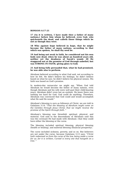# **ROMANS 4:17-21**

**17 (As it is written, I have made thee a father of many nations,) before him whom he believed, even God, who quickeneth the dead, and calleth those things which be not as though they were.**

**18 Who against hope believed in hope, that he might become the father of many nations, according to that which was spoken, So shall thy seed be.**

**19 And being not weak in faith, he considered not his own body now dead, when he was about an hundred years old, neither yet the deadness of Sarah's womb: 20 He staggered not at the promise of God through unbelief; but was STRONG IN FAITH, giving glory to God;**

# **21 And being fully persuaded that, what he had promised, he was able also to perform.**

Abraham believed according to what God said, not according to how he felt. He didn't believe his feelings; he didn't believe based on what he saw; he didn't believe his physical senses. His faith was based on God's promise.

In modern-day vernacular we might say, "When God told Abraham he would become the father of many nations, even though Abraham and his wife were well past their child-bearing years, Abraham didn't even bat an eyelash. He knew there was nothing too hard for God: God could do anything. Therefore, Abraham was convinced that God could and would accomplish what He said He would."

Abraham's blessing is ours as followers of Christ, we are told in Galatians 3:14: *"That the blessing of Abraham might come on the Gentiles through Jesus Christ; that we might receive the promise of the Spirit through faith.* "

Abraham's blessing was threefold: spiritual, physical, and material. God said to the descendants of Abraham—and this was the covenant He had made with Abraham—that they could have either the blessing or the curse.

The blessing included spiritual blessing, physical blessing (health or healing), and material blessing (financial prosperity).

The curse included sickness, poverty, and so on. But believers are not under the curse, because Galatians 3:13 says, *"Christ hath redeemed us from the curse of the law, being made a curse for us: for it is written, Cursed is every one that hangeth on a tree.* "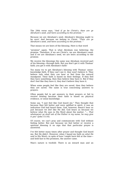The 29th verse says, *"And if ye be Christ's, then are ye Abraham's seed, and heirs according to the promise.* "

Because we are Abraham's seed, Abraham's blessing ought to be ours! And because we belong to Christ, *"Then are ye Abraham's seed, and heirs according to the promise.* "

That means we are heirs of the blessing. Here is that word

"promise" again. That is what Abraham was believing: the promise. Therefore, if we are Christ's, we are Abraham's seed; and if we are Abraham's seed, we are heirs according to the promise.

We receive the blessings the same way Abraham received part of his blessing—through faith. But you don't get it with Thomas' faith; you get it with Abraham's faith!

Too many try to get Abraham's blessing with Thomas' senseknowledge faith. If they can't see it, they won't believe it. They believe only what they can hear or feel from the natural standpoint. Their faith is based on their feelings. If they feel they have something, then they believe they have it. But if they don't feel like they have it, they don't believe they have it.

When some people feel like they are saved, then they believe they are saved. The same is true concerning answers to prayers.

Often people fail to get answers to their prayers or fail to receive healing because their faith is based on physical evidence, or sense knowledge.

Some say, "I just feel like God heard me." They thought that because they felt better and were uplifted in spirit, it was an indication God had heard them. God, however, doesn't hear us just because we *feel* like He did; God hears us because we *believe* what He says in His Word about the matter: "... *That whatsoever ye shall ask of the Father in my name, he may give it you"* (John 15:16).

Of course, we can't pray and communicate with God without feeling better. But just because we feel better or receive a spiritual blessing is no sign that that particular prayer is answered.

I've felt better many times after prayer and thought God heard me. But He didn't. However, when I based my faith on *what He said* in His Word—in spite of how I might have felt at the time and held fast to His promises, the answer came.

Man's nature is twofold: There is an inward man and an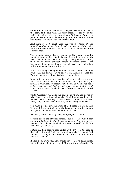outward man. The inward man is the spirit. The outward man is the body. To believe with the heart means to believe on the inside—to believe with the inward man. To base one's faith on physical evidence is to believe only from the natural human standpoint—to believe with the outward man.

*Real faith in God—heart faith—believes the Word of God regardless of what the physical evidence may be.* It's believing with the inward man that causes faith to be manifested in the outward man.

The trouble with a lot of people is that they want the manifestation on the outside before they will believe on the inside. But it doesn't work that way. These people are letting their bodies—their physical senses—dominate them. They believe what the outward man—their physical body—tells them rather than what God's Word says.

A person seeking healing should look to God's Word, not to his symptoms. He should say, "I know I am healed because the Word of God says that by His stripes I am healed."

It won't do you any good to say that unless you believe it in your heart. If you do believe it in your heart and say it with your mouth, it will work: *"Whosoever shall say... and shall not doubt in his heart, but shall believe that those things which he saith shall come to pass; he shall have whatsoever he saith"* (Mark 11:23).

Smith Wigglesworth made the statement, "I am not moved by what I see. I am not moved by what I feel. I am moved by what I believe." This is the way Abraham was. Thomas, on the other hand, said, "Unless I see and I feel, I'm not going to believe."

Too many people give the Word of God second place in their lives, and they give their body, the home of the physical senses, first place. We cannot walk by faith and do that.

Paul said, *"For we walk by faith, not by sight"* (2 Cor. 5:7).

Sight is one of the physical senses. Paul also said, *"But I keep under my body, and bring it into subjection: lest that by any means, when I have preached to others, I myself should be a castaway"* (1 Cor. 9:27).

Notice that Paul said, "I keep under my body." "I" is the man on the inside—the real Paul—the inward man who is born of God. Paul said, "I bring *it."* Your body is not the real you; it is just the house you live in.

If your body were you, Paul would have said, "I bring myself into subjection." Instead, he said, "I bring it into subjection." In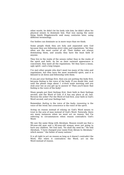other words, he didn't let his body rule him; he didn't allow his physical senses to dominate him. Paul was saying the same thing Smith Wigglesworth said many centuries later, using different terminology.

Our bodies can dominate us in more ways than we think.

Some people think they are holy and separated unto God because they are following strict rules and regulations. Yet they often are the most carnal of all: Their bodies are *always* dominating them, and usually they have the least faith of anyone.

They live in the realm of the senses rather than in the realm of the spirit and faith. As far as their outward appearance is concerned, they meet all the regulations. Yet they have a mean, ugly spirit—and a long tongue.

I've met other people who don't meet too many of the rules and regulations, but they have the most wonderful spirit, and it is blessed to sit down and fellowship with them.

If you put your feelings first, then you are putting the body first, because feeling is the voice of the body. If you doubt this, wait until the phone rings about 1 o'clock some morning and you stub your toe as you get up to answer it! Then you'll know that feeling is the voice of the body!

Many people put their feelings first, their faith in their feelings second, and the Word of God, if it has any place at all, last. Reverse the order! Put the Word of God first, your faith in God's Word second, and your feelings last.

Remember, *feeling* is the voice of the *body; reasoning* is the voice of the *mind;* but *conscience* is the voice of the *spirit.*

Acting on reason instead of relying on God's Word means to trust in the arm of man instead of God's Word. Naturally, there are many instances when we must act on reason, but I'm referring to circumstances when reason contradicts God's Word.

We saw the same thing with Abraham. Reason would say that a 99-year-old man and a 90-year-old woman were not going to have any children. Yet God said, "So shall thy seed be." He told Abraham, "I have changed your name from Abram to Abraham," which means " the father of many nations."

It is all right to act on reason as long as it doesn't contradict the Word. But when it contradicts the Word, act on the Word instead of reason.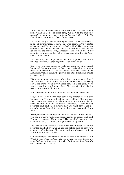To act on reason rather than the Word means to trust in man rather than in God. The Bible says, *"Cursed be the man that trusteth in man, and maketh flesh his arm"* (Jer. 17:5). We should trust in the Word of God for ourselves.

The same thing is true concerning salvation. A woman testified in one of my meetings, "I know I'm saved because I've repented of my sins and I've given up all my bad habits." That is no more evidence that she was saved than it was evidence that she had landed on the moon! Why? Because that woman based her salvation on what she did, not on what Jesus did. She didn't say a word about Jesus.

The question, then, might be asked, "Can a person repent and still not be saved?" Certainly, if that is as far as he goes.

One of my biggest surprises while pastoring my first church happened the night one of the finest men in the church came to the altar to accept Christ as his Savior. I had been in this man's home many times. I knew he prayed, read the Bible, and prayed at every meal.

His teenage sons (who were only a few years younger than I) had told me, "Never in our lifetime have we heard our Daddy say a bad word. We've never heard him tell a bad joke. We've never heard him and Momma fuss." Yet, in spite of all his fine traits, he was not a Christian.

After his conversion, I told him I had assumed he was saved.

"No," he said, "I've never been saved. My mother was old-time holiness, and I've always lived by her teachings. She was very strict. I've never been to a ball-game or a movie in my life. If I ever violated any of Momma's teachings, I immediately repented and said, 'God forgive me.' But until now I had not actually invited Jesus into my heart. I had not accepted Him in faith."

His repentance for wrong acts did not save him. It was just as if you had a quarrel with a neighbor, friend, or spouse and said, "I'm sorry. I repent. Forgive me." That wouldn't mean you got saved; it would just mean you repented of the quarrel.

The woman who testified that she was saved because she had repented and had given up all her bad habits gave no scriptural evidence of salvation. She depended on physical evidence rather than the Word of God.

Our testimony of conversion should be based on Romans 10:9, *"That if thou shalt confess with thy mouth the Lord Jesus, and shalt believe in thine heart that God hath raised him from the dead, thou shalt be saved.* "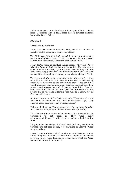Salvation comes as a result of an Abraham-type of faith—a heart faith, a spiritual faith—a faith based not on physical evidence but on the Word of God.

#### *Chapter 3*

## *Two Kinds of Unbelief*

There are two kinds of unbelief. First, there is the kind of unbelief that is based on a lack of knowledge.

The Bible says, *"So then faith cometh by hearing, and hearing by the word of God"* (Rom. 10:17). Those who have not heard cannot have knowledge; therefore, they can't believe.

Many don't *believe* in spiritual things because they don't *know* what the Word of God teaches on the subject. For example, a great number are totally ignorant about the infilling with the Holy Spirit simply because they don't know the Word. The cure for this kind of unbelief, of course, is knowledge of God's Word.

The other kind of unbelief is mentioned in Hebrews 4:6, "...*they to whom it was first preached entered not in because of unbelief.* " This refers to the children of Israel. They could not plead innocence due to ignorance, because God had told them to go in and possess the land of Canaan. In addition, they had sent spies into Canaan, and the spies had returned with the report that it was a land flowing with milk and honey, just as God had said it was.

Another translation of this Scripture reads, "They entered not in because of disobedience." Still another translation says, "They entered not in because of unpersuadableness."

Hebrews 4:11 warns, *"Let us labour therefore to enter into that rest, lest any man fall after the same example of unbelief.* "

The children of Israel knew what God said, but they couldn't be persuaded to act upon it. They were guilty of unpersuadableness," which is also called unbelief in the Bible.

They had the knowledge of God's Word, but they couldn't be persuaded to act upon it; they were unwilling to allow the Word to govern them.

There is much of this kind of unbelief among Christians today: an unwillingness to allow the Word of God to govern their lives; a refusal to act upon knowledge. Many know what the Word teaches but refuse to act upon it.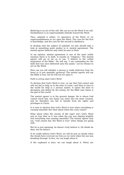Believing is an act of the will. We can act on the Word if we will. Disobedience is an unpersuadable attitude toward the Word.

Thus, unbelief is either: (1) ignorance of the Word, or (2) unpersuadableness to act upon the Word. The cure for the first is knowledge, and the cure for the second is obedience.

In dealing with the subject of unbelief, we also should take a look at something quite similar to it: mental agreement. The mental agreer believes only what he sees or feels.

In my opinion, mental agreement is one of the most subtle enemies there is to faith. It sounds so "religious." The mental agreer will go so far as to say, "I believe in the verbal inspiration of the Bible." He will say, "I am contending for the faith that was once delivered unto the saints," yet he refuses to act on the Word.

How can you tell whether a person is really *believing* from his heart or is just mentally *agreeing?* The mental agreer will say the Bible is true, but he will not act upon it.

# *Faith is acting upon God's Word.*

To declare that God's Word is true—to say that God cannot and will not fail to help us in the time of crisis—and then to turn to the world for help is a serious matter. It opens the door to deception and defeat by the enemy, for the Bible says Satan is the god of this world.

The mental agreer is in the gravest danger. He is where God cannot reach him, but Satan can enter into his inner counsel, and he therefore can fail to benefit from his rights and privileges in Christ.

It is easy to declare that God's Word is true when everything is running smoothly. But what about when the crisis comes?

What about when the storms of life rage? Isn't God's Word just as true then as it was when the sun was shining brightly and everything was running smoothly? The mental agreer may say, "God cannot fail; His Word is true" when things are going well.

But he is just agreeing; he doesn't truly believe it. He thinks he does, but he doesn't.

If we really believe God's Word, we will be just as steady when the clouds have overcast our lives as we were when the sun was breaking through. In fact, we can laugh about it.

If the cupboard is bare, we can laugh about it. When our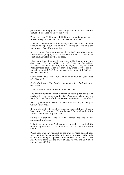pocketbook is empty, we can laugh about it. We are not disturbed, because we know the Word.

When you have \$100 in your billfold and a good bank account it is easy to say, "Praise the Lord, He meets every need.

I feel as if I could believe Him for anything." But when the bank account is wiped out, the billfold is empty, and the bills are facing you, it's a different matter.

At such times, the mental agreer drops back into this Thomas kind of faith, going by what he can see. He can see that needs exist, and he walks by what he sees.

I learned a long time ago to say right in the face of want and dire need, "I'm not walking by sight." Second Corinthians 5:7 says, *"We walk by faith, not by sight.* " I say as Smith Wigglesworth said, "I am not moved by what I *see.* I am not moved by what I *feel.* I am moved only by what I *believe.* I believe God's Word."

God's Word says, *"But my God shall supply all your need* ..." (Phil. 4:19).

God's Word says, *"The Lord is my shepherd; I shall not want"* (Ps. 23:1).

I like to read it, "I *do* not want." I believe God.

The same thing is true when it comes to healing. You can get by easily with some symptoms, but it isn't so easy when you're in pain. But isn't God's Word just as true one time as it is another?

Isn't it just as true when you have distress in your body as when you are well?

If I walk by sight—by what my physical senses tell me—I would have to say, "I'm not well. I'm not healed." But walking by faith, I know I am healed in Jesus' Name.

So we see that the kind of faith Thomas had and mental agreement are twins.

I like to use something Paul said as a confession. I use it all the time in my own life. I like to confess it to the devil, the Lord, and me.

When Paul was shipwrecked on the way to Rome and all hope was gone that the men on that ship would be saved, in the midst of those seemingly hopeless circumstances Paul said, *"There stood by me this night the angel of God, whose I am, and whom I serve"* (Acts 27:23).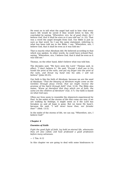He went on to tell what the angel had said to him—that every man's life would be saved if they would listen to him. He concluded by saying, *"Wherefore, sirs, be of good cheer: for I believe God, that it shall be even as it was told me"* (v. 25). That was a word the angel brought from God. Our Bible is just as sure as that word. So I use the same statement, referring to what has been told me in the Bible. I say, "Wherefore, sirs, I believe God, that it shall be even as it was told me."

That is exactly what Abraham did: He believed according to that which was spoken. In other words, he could have echoed Paul, saying, "Wherefore, sirs, I believe God, that it shall be even as it was told me."

Thomas, on the other hand, didn't believe what was told him.

The disciples said, "We have seen the Lord." Thomas said, in effect, "I don't believe it." He said, *"Except I shall see in his hands the print of the nails, and put my finger into the print of the nails, and thrust my hand into his side, I will not believe"* (John 20:25).

Our faith is like the faith of Abraham, because we are the seed of Abraham: *"That the blessing of Abraham might come on the Gentiles through Jesus Christ; that we might receive the promise of the Spirit through faith"* (Gal. 3:14). The Bible also states, *"Know ye therefore that they which are of faith, the same are the children of Abraham"* (Gal. 3:7). Our faith is based on what God says.

Often our lives seem to resemble the shipwreck experienced by Paul. In the midst of the storms of life that come our way, if we are walking by feelings, it might seem as if the Lord has forsaken us and all hope is gone. But we know He hasn't, because He said, "I *will never leave thee, nor forsake thee''''* (Heb. 13:5).

In the midst of the storms of life, we can say, "Wherefore, sirs, I believe God!"

# *Chapter 4*

## *Enemies of Faith*

*Fight the good fight of faith, lay hold on eternal life, whereunto thou art also called, and hast professed a good profession before many witnesses.*

# *—* 1 Tim. 6:12

In this chapter we are going to deal with some hindrances to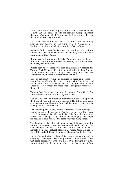faith. There wouldn't be a fight of faith if there were no enemies of faith. But the enemies of faith are not what most people think they are. Most people look for enemies in the natural realm, and that's not where they are at all.

The Bible says in Romans 10:17, *"So then faith cometh by hearing, and hearing by the word of God.* " The greatest hindrance to faith is a lack of knowledge of God's Word.

Because faith comes by hearing the Word of God, all the enemies of faith will be connected in some way with our lack of knowledge of God's Word.

If you have a knowledge of God's Word, nothing can keep it from working, because it comes by hearing. If you have heard the Word, you have faith.

People pray to get faith, yet faith only comes by hearing the Word of God. If you could get it by praying for it, then Romans 10:17 would be untrue. *People who pray for faith are attempting to get what the Word alone can give.*

One of the most prominent enemies of faith is a sense of unworthiness. All of us have had a battle with that. A sense of unworthiness and a sense of lack of faith go hand in hand. These two are perhaps the most subtle, dangerous weapons of the devil.

We can find the answer to these feelings in God's Word. The answer is this: *Your worthiness is Jesus Christ!*

God does not heal your body or baptize you in the Holy Spirit on the basis of your individual worthiness. If He did, no one would ever receive these blessings from God, because no one could be worthy in his or her own right.

Not knowing the Word, many Christians allow feelings of unworthiness to defeat them. People have told me they were sure they wouldn't be filled with the Holy Spirit because they weren't good enough—they were unworthy. Praying with people for healing, I have run into the same situation many times.

The trouble is that the individual looks at himself from the natural standpoint. He is acquainted with all of his shortcomings, mistakes, faults, and failures, and he looks at himself from this natural standpoint rather than looking at himself from the Biblical standpoint—the way God looks at him.

I struggled with this problem while I was a teenage invalid 50 years ago. I thought I was being humble. I didn't know I was just being stupid. I' *m weak and unworthy,* I thought. From the natural standpoint that may have been true, but it wasn't from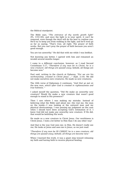the Biblical standpoint.

The Bible says, *"The entrance of thy words giveth light"* (Ps. 119:130), and once the light is in your spirit, it can't be removed, even though the devil will do his best to confuse you. He'll try to keep you from walking in the light, and he'll even go as far as saying, "That's true, all right. The prayer of faith works. But you can't pray the prayer of faith because you aren't good enough.

You are too unworthy." He did that with me while I was bedfast.

Not knowing any better, I agreed with him and remained an invalid several months longer.

I came to a different conclusion, however, as I read Second Corinthians 5:17, *"Therefore if any man be in Christ, he is a new creature: old things are passed away;* behold, all things are become new."

Paul said, writing to the church at Ephesus, *"For we are his workmanship, created in Christ Jesus* ..." (Eph. 2:10). We did not make ourselves new creatures; He made us new creatures.

The 24th verse of Ephesians 4 continues, *"And that ye put on the new man, which after God is created in righteousness and true holiness.* "

I asked myself the question, "Did He make an unworthy new creature? Would He make a new creature that wasn't good enough to stand in His presence?"

Then I saw where I was making my mistake. Instead of believing what the Bible said about me—the real me, the man on the inside—I was looking at the outward man and my physical shortcomings. I was passing my judgment on the case when I should have been accepting God's estimation of it. I knew God did not make any unworthy new creature. If He did, that would be belittling His work.

He made us a new creature in Christ Jesus. Our worthiness is Christ Jesus. I look a lot better in Him than I do any other way!

And that is the way God sees me: in Him. He doesn't really see *me;* He looks at Jesus and sees me *in Jesus,* as we just read:

*"Therefore if any man be IN CHRIST, he is a new creature: old things are passed away; behold, all things are become new."*

When I learned this truth, it was a giant step toward releasing my faith and having faith to receive physical healing.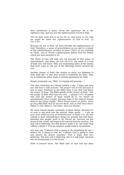*Your worthiness is Jesus Christ the righteous!* He is the righteous One, and you are the righteousness of God in Him.

*"For he hath made him to be sin for us, who knew no sin; that we might be made the righteousness of God in him" {2* Cor. 5:21).

Because we are in Him, we have become the righteousness of God. Therefore, a sense of unworthiness on our part is a denial of the substitutionary sacrifice of Jesus Christ, of our standing in Christ, and of Christ's righteousness before God the Father which has been granted to us.

The Word of God will help you rid yourself of this sense of unworthiness; and when you are rid of it, the sense of a lack of faith also will leave. They are tormenting twins of the enemy that have come to rob you of the blessings Christ secured for you.

Another enemy of faith—the reason so many are defeated in their faith life—is that they accept a substitute for faith. They try to substitute either hope or mental agreement for faith.

People constantly say, "Well, I'm hoping and praying ..."

One man remarked as a friend started a trip, "I hope and pray you will have a safe journey." His prayer was in vain because it was in *hope.* Nowhere in the Bible does it say that God hears *the prayer of hope.* The Bible speaks of *the prayer of faith: "And the prayer of faith shall save the sick* ..." (James 5:15). (If James had said the prayer of hope would do it, we would all automatically have results, because hope is the natural human thing to do.) Jesus taught, *"What things soever ye desire, when ye pray, BELIEVE that ye receive them, and ye shall have them"* (Mark 11:24). Believe—not hope—that you receive.

We must remind people constantly of these things, because it's so easy to slip back into the natural. Peter wrote, "... I *stir up your pure minds by way of remembrance"* (2 Peter 3:1). He was calling to their remembrance things he already had told them, knowing that people need to be stirred up, because we are living in this world, and hope is the natural human reaction. You may call it believing, but that doesn't make it so, any more than calling a Model T Ford an airplane would make it an airplane.

You may say, "I believe God is going to do something for me. I believe He is going to heal me. I believe God is going to hear and answer my prayer someday." That is hope; that isn't believing. You may call it believing, but it is still hope, because you are postponing it to the future.

*Faith is present tense.* The Bible tells us that God has done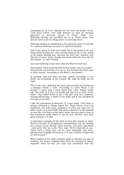something for us *now: "Blessed be the God and Father of our Lord Jesus Christ, who hath blessed us with all spiritual blessings in heavenly places in Christ"* (Eph. 1:3). Blessings already are provided for us in Christ Jesus. God doesn't have to do one thing more; it is already done.

Although healing is manifested in the physical realm, it actually is a spiritual blessing, because it is spiritual healing.

God is not *going to* heal your body. He is not going to do one thing about healing you. He's already done all He is ever going to do about healing you, because He laid your sickness and disease on Jesus. Jesus already has borne them for you, and by His stripes " ye *were* healed."

Get your believing in line with what the Word of God says.

Quit hoping. Start believing that by His stripes you are healed not because you *feel* like it or *see* it, but because His Word says it. Start saying, "According to His Word, I am healed."

If someone asks you how you feel, answer according to the Word, not according to the natural. We walk by faith, not by sight.

This is the way I defeated the devil and received my healing as a teenage invalid. I said, "According to God's Word, I am healed." I never said a word about how I *felt.* People would say, "You look as if you can hardly put one foot in front of the other." They didn't know it, but I felt that way, too! However, healing did become a reality in my body, and it was manifested because of my faith.

I like the translation of Hebrews 11:1 that reads, "Now faith is giving substance to things hoped for." *Hope doesn't have any substance, but faith gives substance to what you hope for.* In other words, it is your faith that gives substance to the healing in your life. It is there in the spirit realm, but you want it here in this substance realm where it can be seen and felt. Your faith gives substance to that.

A marvelous example of this kind of faith that stands on God's Word in the face of all apparent contradictions was the healing of a certain 9-year-old boy. Three doctors—two were specialists —had given him up to die. They said, "We've done all we can. There isn't a thing that can be done medically. The boy's kidneys have stopped functioning. It is just a matter of time and he will be gone."

When neither of the child's parents spoke or showed any sign of emotion, the doctor, thinking they were too shocked to speak, repeated what he had just said and concluded with the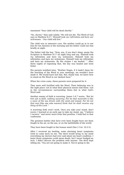statement "Your child will be dead shortly."

"No, doctor," they said calmly. "He will not die. The Word of God says in Matthew 8:17, *'Himself took our infirmities and bare our sicknesses.* ' Our child will live."

The child was in intensive care. His mother could go in to see him for ten minutes in the morning and his father could see him briefly at night.

The father told the boy, "Now, son, if you don't sleep, quote the Scripture in Matthew 8:17 all night long and say, 'Himself took *my* infirmities and bare *my* sicknesses. Himself took my infirmities and bare my sicknesses. Himself took my infirmities and bare my sicknesses. By His stripes I am healed.' " After three nights of repeating that, the boy was healed and went home.

His parents testified later, "Brother Hagin, if it hadn't been for the teaching of the Word in your meetings, we wouldn't have made it. We would have lost him. But, thank God, we knew how to stand on His Word in our darkest hour."

When the crisis came, these parents were prepared for it.

They were well fortified with the Word. Their believing was in the right place: not in what their physical senses told them—not in the circumstances surrounding them—but in what God's Word said.

Another enemy of faith is wavering. James 1:6,7 warns, *"But let him ask in faith, nothing wavering. For he that wavereth is like a wave of the sea driven with the wind and tossed. For let not that man* [the one who wavers] *think that he shall receive any thing of the Lord.* "

A wavering faith won't work. Once you take your stand, don't waver. I learned at an early age to take my stand, say, "I believe I receive," and never move from that position. I hold fast to that confession.

The greatest battles that have ever been fought have not been fought in the air, on the sea, or on the battlefields of the world.

They have been fought in the human mind (See 2 Cor. 10:3-5).

After I received my healing, some alarming heart symptoms tried to come back on me. The devil would bring to my mind everything my doctors had ever said about my heart condition. I knew those symptoms could mean death, but I never budged an inch. I didn't discuss the problem with anyone. The devil kept telling me, "You are not going to make it. You're going to die.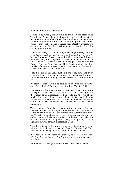Remember what the doctor said!"

I went off by myself, put my Bible on the floor, and stood on it. Then I said, "Lord, I know that standing on the Bible physically isn't going to do one bit of good, but I'm illustrating something: I'm standing on your Word, and I'm not going to waver. I'm not going to move off of it. I'm standing here literally, physically, to demonstrate the fact that spiritually, on the inside of me, I'm standing on the Word.

"The Word says, '. . . *What things soever ye desire, when ye pray, believe that ye receive them, and ye shall have them.* ' I believe I receive. I say it today. I said it yesterday. I'll say it tomorrow. I say it in the presence of the devil and all the imps of hell. I *believe I receive.* I say it in the presence of God the Father, God the Son, God the Holy Spirit, and all the holy angels. I *believe I receive.* It is written, 'Forever thy word is settled in heaven.' God cannot fail."

Then I picked up my Bible, tucked it under my arm—and every symptom I had in my body disappeared. I had refused to waver. Wavering faith is an enemy that will defeat you in the battles of life.

We often wonder why it is so hard to believe God and "fight the good fight of faith" Paul wrote about in First Timothy 6:12.

The reason is because we are surrounded by an antagonistic atmosphere in this world. The world is presided over by Satan, the enemy of all righteousness. Paul calls him the god of this world, the prince of the powers of the air. We live in Satan's unreal world, surrounded by currents of unbelief that are so subtle they can dominate us before we realize what's happening.

These currents of unbelief are so persistent that only a few ever rise above them. For example, to believe God for finances is a continual struggle against the materialistic currents that buffet us. To believe in Christ for victory over sin can be a neverending battle with the spiritual hosts of darkness. To believe in God for healing for the physical body is to put up a battle against centuries of trust in medicine alone.

Therefore, living in this world as we do, it is easy to base our faith on physical evidence instead of on the Word of God. That, however, is an enemy of faith. That is to be like Thomas.

Bible faith is like the faith of Abraham, as we see in Galatians 3:7, ". . . *they which are of faith, the same are the children of Abraham."*

Faith believes in things it does not see. Jesus said to Thomas, ".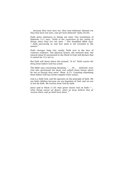. . *because thou hast seen me, thou hast believed: blessed are they that have not seen, and yet have believed"* (John 20:29).

Faith gives substance to things not seen. One translation of Hebrews 11:1 says, *"Faith is the conviction of the reality of things when they are not seen.* " *The Amplified Bible* says, "...faith perceiving as real fact what is not revealed to the senses."

*Faith changes hope into reality.* Faith acts in the face of contrary evidence. The physical senses, the outward man, the natural mind (if unrenewed in the Word of God) will declare that it cannot be; it is not so.

But faith will shout above the turmoil, "It is!" *Faith counts the thing done before God has acted.*

The Bible says concerning Abraham, *". . . he . . . believed, even God who quickeneth the dead, and calleth those things which be not as though they were"* (Rom. 4:17). Counting something done before God has acted compels God's action.

God is a faith God, and He operates on the principle of faith. We are faith children because we are begotten of God, and we are to live by faith. We receive from God by faith.

Jesus said in Mark 11:24—that great classic text on faith—"... *what things soever ye desire, when ye pray, believe that ye receive them, and ye shall have them.* "